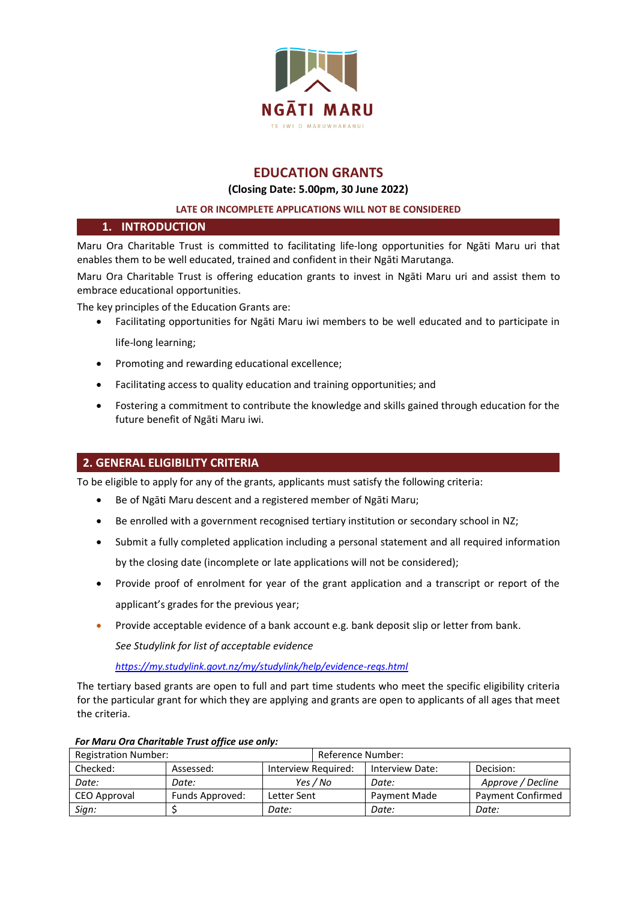

# **EDUCATION GRANTS**

## **(Closing Date: 5.00pm, 30 June 2022)**

## **LATE OR INCOMPLETE APPLICATIONS WILL NOT BE CONSIDERED**

# **1. INTRODUCTION**

Maru Ora Charitable Trust is committed to facilitating life-long opportunities for Ngāti Maru uri that enables them to be well educated, trained and confident in their Ngāti Marutanga.

Maru Ora Charitable Trust is offering education grants to invest in Ngāti Maru uri and assist them to embrace educational opportunities.

The key principles of the Education Grants are:

- Facilitating opportunities for Ngāti Maru iwi members to be well educated and to participate in life-long learning;
- Promoting and rewarding educational excellence;
- Facilitating access to quality education and training opportunities; and
- Fostering a commitment to contribute the knowledge and skills gained through education for the future benefit of Ngāti Maru iwi.

# **2. GENERAL ELIGIBILITY CRITERIA**

To be eligible to apply for any of the grants, applicants must satisfy the following criteria:

- Be of Ngāti Maru descent and a registered member of Ngāti Maru;
- Be enrolled with a government recognised tertiary institution or secondary school in NZ;
- Submit a fully completed application including a personal statement and all required information by the closing date (incomplete or late applications will not be considered);
- Provide proof of enrolment for year of the grant application and a transcript or report of the applicant's grades for the previous year;
- Provide acceptable evidence of a bank account e.g. bank deposit slip or letter from bank.

*See [Studylink](https://my.studylink.govt.nz/my/studylink/help/evidence-reqs.html) for list of acceptable evidence* 

*<https://my.studylink.govt.nz/my/studylink/help/evidence-reqs.html>*

The tertiary based grants are open to full and part time students who meet the specific eligibility criteria for the particular grant for which they are applying and grants are open to applicants of all ages that meet the criteria.

|                             | --              |                     |                   |                 |           |              |                          |
|-----------------------------|-----------------|---------------------|-------------------|-----------------|-----------|--------------|--------------------------|
| <b>Registration Number:</b> |                 |                     | Reference Number: |                 |           |              |                          |
| Checked:                    | Assessed:       | Interview Required: |                   | Interview Date: | Decision: |              |                          |
| Date:                       | Date:           | Yes / No            |                   |                 |           | Date:        | Approve / Decline        |
| CEO Approval                | Funds Approved: | Letter Sent         |                   |                 |           | Payment Made | <b>Payment Confirmed</b> |
| Sign:                       |                 | Date:               |                   | Date:           | Date:     |              |                          |

# *For Maru Ora Charitable Trust office use only:*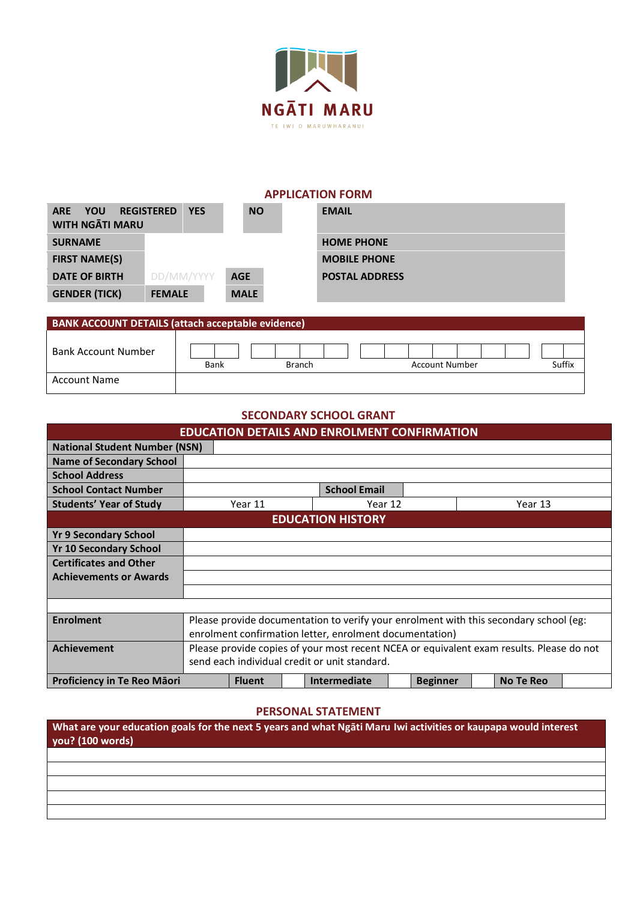

| <b>APPLICATION FORM</b>                     |                                 |             |                       |  |  |  |  |  |
|---------------------------------------------|---------------------------------|-------------|-----------------------|--|--|--|--|--|
| YOU<br><b>ARE</b><br><b>WITH NGATI MARU</b> | <b>REGISTERED</b><br><b>YES</b> | <b>NO</b>   | <b>EMAIL</b>          |  |  |  |  |  |
| <b>SURNAME</b>                              |                                 |             | <b>HOME PHONE</b>     |  |  |  |  |  |
| <b>FIRST NAME(S)</b>                        |                                 |             | <b>MOBILE PHONE</b>   |  |  |  |  |  |
| <b>DATE OF BIRTH</b>                        | DD/MM/YYYY                      | <b>AGE</b>  | <b>POSTAL ADDRESS</b> |  |  |  |  |  |
| <b>GENDER (TICK)</b>                        | <b>FEMALE</b>                   | <b>MALE</b> |                       |  |  |  |  |  |

| <b>BANK ACCOUNT DETAILS (attach acceptable evidence)</b> |      |               |                       |        |  |  |  |
|----------------------------------------------------------|------|---------------|-----------------------|--------|--|--|--|
| <b>Bank Account Number</b>                               | Bank | <b>Branch</b> | <b>Account Number</b> | Suffix |  |  |  |
| <b>Account Name</b>                                      |      |               |                       |        |  |  |  |

# **SECONDARY SCHOOL GRANT**

| <b>EDUCATION DETAILS AND ENROLMENT CONFIRMATION</b> |                                                                                          |               |  |                          |  |                 |                  |  |
|-----------------------------------------------------|------------------------------------------------------------------------------------------|---------------|--|--------------------------|--|-----------------|------------------|--|
| <b>National Student Number (NSN)</b>                |                                                                                          |               |  |                          |  |                 |                  |  |
| <b>Name of Secondary School</b>                     |                                                                                          |               |  |                          |  |                 |                  |  |
| <b>School Address</b>                               |                                                                                          |               |  |                          |  |                 |                  |  |
| <b>School Contact Number</b>                        |                                                                                          |               |  | <b>School Email</b>      |  |                 |                  |  |
| <b>Students' Year of Study</b>                      |                                                                                          | Year 11       |  | Year 12                  |  |                 | Year 13          |  |
|                                                     |                                                                                          |               |  | <b>EDUCATION HISTORY</b> |  |                 |                  |  |
| <b>Yr 9 Secondary School</b>                        |                                                                                          |               |  |                          |  |                 |                  |  |
| <b>Yr 10 Secondary School</b>                       |                                                                                          |               |  |                          |  |                 |                  |  |
| <b>Certificates and Other</b>                       |                                                                                          |               |  |                          |  |                 |                  |  |
| <b>Achievements or Awards</b>                       |                                                                                          |               |  |                          |  |                 |                  |  |
|                                                     |                                                                                          |               |  |                          |  |                 |                  |  |
|                                                     |                                                                                          |               |  |                          |  |                 |                  |  |
| <b>Enrolment</b>                                    | Please provide documentation to verify your enrolment with this secondary school (eg:    |               |  |                          |  |                 |                  |  |
|                                                     | enrolment confirmation letter, enrolment documentation)                                  |               |  |                          |  |                 |                  |  |
| <b>Achievement</b>                                  | Please provide copies of your most recent NCEA or equivalent exam results. Please do not |               |  |                          |  |                 |                  |  |
|                                                     | send each individual credit or unit standard.                                            |               |  |                          |  |                 |                  |  |
| <b>Proficiency in Te Reo Maori</b>                  |                                                                                          | <b>Fluent</b> |  | Intermediate             |  | <b>Beginner</b> | <b>No Te Reo</b> |  |

# **PERSONAL STATEMENT**

| What are your education goals for the next 5 years and what Ngati Maru Iwi activities or kaupapa would interest<br>you? (100 words) |  |  |  |  |  |  |
|-------------------------------------------------------------------------------------------------------------------------------------|--|--|--|--|--|--|
|                                                                                                                                     |  |  |  |  |  |  |
|                                                                                                                                     |  |  |  |  |  |  |
|                                                                                                                                     |  |  |  |  |  |  |
|                                                                                                                                     |  |  |  |  |  |  |
|                                                                                                                                     |  |  |  |  |  |  |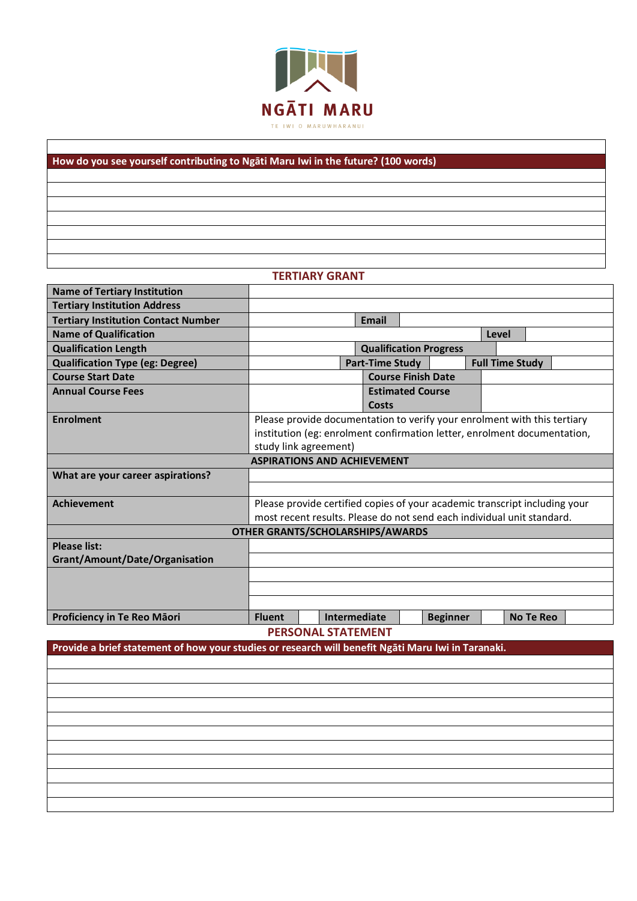

# **How do you see yourself contributing to Ngāti Maru Iwi in the future? (100 words)**

# **TERTIARY GRANT**

| <b>Name of Tertiary Institution</b>        |                                                                                                    |                                                                            |                        |                           |                 |       |                        |  |  |
|--------------------------------------------|----------------------------------------------------------------------------------------------------|----------------------------------------------------------------------------|------------------------|---------------------------|-----------------|-------|------------------------|--|--|
| <b>Tertiary Institution Address</b>        |                                                                                                    |                                                                            |                        |                           |                 |       |                        |  |  |
| <b>Tertiary Institution Contact Number</b> |                                                                                                    |                                                                            | <b>Email</b>           |                           |                 |       |                        |  |  |
| <b>Name of Qualification</b>               |                                                                                                    |                                                                            |                        |                           |                 | Level |                        |  |  |
| <b>Qualification Length</b>                | <b>Qualification Progress</b>                                                                      |                                                                            |                        |                           |                 |       |                        |  |  |
| <b>Qualification Type (eg: Degree)</b>     |                                                                                                    |                                                                            | <b>Part-Time Study</b> |                           |                 |       | <b>Full Time Study</b> |  |  |
| <b>Course Start Date</b>                   |                                                                                                    |                                                                            |                        | <b>Course Finish Date</b> |                 |       |                        |  |  |
| <b>Annual Course Fees</b>                  |                                                                                                    |                                                                            |                        | <b>Estimated Course</b>   |                 |       |                        |  |  |
|                                            |                                                                                                    |                                                                            | Costs                  |                           |                 |       |                        |  |  |
| <b>Enrolment</b>                           |                                                                                                    | Please provide documentation to verify your enrolment with this tertiary   |                        |                           |                 |       |                        |  |  |
|                                            |                                                                                                    | institution (eg: enrolment confirmation letter, enrolment documentation,   |                        |                           |                 |       |                        |  |  |
|                                            |                                                                                                    | study link agreement)                                                      |                        |                           |                 |       |                        |  |  |
| <b>ASPIRATIONS AND ACHIEVEMENT</b>         |                                                                                                    |                                                                            |                        |                           |                 |       |                        |  |  |
| What are your career aspirations?          |                                                                                                    |                                                                            |                        |                           |                 |       |                        |  |  |
|                                            |                                                                                                    |                                                                            |                        |                           |                 |       |                        |  |  |
| <b>Achievement</b>                         |                                                                                                    | Please provide certified copies of your academic transcript including your |                        |                           |                 |       |                        |  |  |
|                                            | most recent results. Please do not send each individual unit standard.                             |                                                                            |                        |                           |                 |       |                        |  |  |
|                                            | <b>OTHER GRANTS/SCHOLARSHIPS/AWARDS</b>                                                            |                                                                            |                        |                           |                 |       |                        |  |  |
| <b>Please list:</b>                        |                                                                                                    |                                                                            |                        |                           |                 |       |                        |  |  |
| Grant/Amount/Date/Organisation             |                                                                                                    |                                                                            |                        |                           |                 |       |                        |  |  |
|                                            |                                                                                                    |                                                                            |                        |                           |                 |       |                        |  |  |
|                                            |                                                                                                    |                                                                            |                        |                           |                 |       |                        |  |  |
|                                            |                                                                                                    |                                                                            |                        |                           |                 |       |                        |  |  |
| Proficiency in Te Reo Māori                | <b>Fluent</b>                                                                                      |                                                                            | <b>Intermediate</b>    |                           | <b>Beginner</b> |       | <b>No Te Reo</b>       |  |  |
|                                            |                                                                                                    | <b>PERSONAL STATEMENT</b>                                                  |                        |                           |                 |       |                        |  |  |
|                                            | Provide a brief statement of how your studies or research will benefit Ngāti Maru Iwi in Taranaki. |                                                                            |                        |                           |                 |       |                        |  |  |
|                                            |                                                                                                    |                                                                            |                        |                           |                 |       |                        |  |  |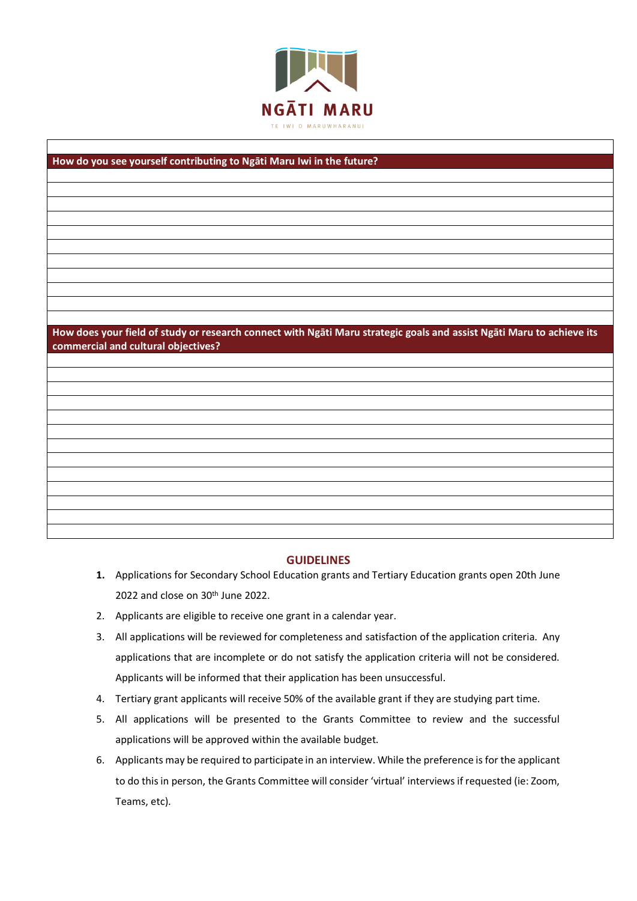

# **How do you see yourself contributing to Ngāti Maru Iwi in the future? How does your field of study or research connect with Ngāti Maru strategic goals and assist Ngāti Maru to achieve its commercial and cultural objectives?**

# **GUIDELINES**

- **1.** Applications for Secondary School Education grants and Tertiary Education grants open 20th June 2022 and close on 30<sup>th</sup> June 2022.
- 2. Applicants are eligible to receive one grant in a calendar year.
- 3. All applications will be reviewed for completeness and satisfaction of the application criteria. Any applications that are incomplete or do not satisfy the application criteria will not be considered. Applicants will be informed that their application has been unsuccessful.
- 4. Tertiary grant applicants will receive 50% of the available grant if they are studying part time.
- 5. All applications will be presented to the Grants Committee to review and the successful applications will be approved within the available budget.
- 6. Applicants may be required to participate in an interview. While the preference is for the applicant to do this in person, the Grants Committee will consider 'virtual' interviews if requested (ie: Zoom, Teams, etc).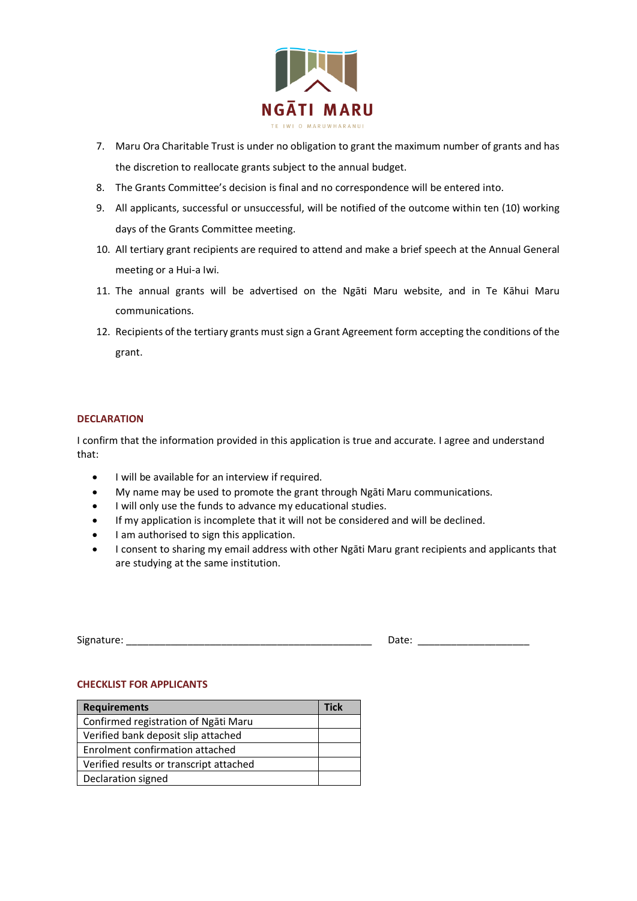

- 7. Maru Ora Charitable Trust is under no obligation to grant the maximum number of grants and has the discretion to reallocate grants subject to the annual budget.
- 8. The Grants Committee's decision is final and no correspondence will be entered into.
- 9. All applicants, successful or unsuccessful, will be notified of the outcome within ten (10) working days of the Grants Committee meeting.
- 10. All tertiary grant recipients are required to attend and make a brief speech at the Annual General meeting or a Hui-a Iwi.
- 11. The annual grants will be advertised on the Ngāti Maru website, and in Te Kāhui Maru communications.
- 12. Recipients of the tertiary grants must sign a Grant Agreement form accepting the conditions of the grant.

# **DECLARATION**

I confirm that the information provided in this application is true and accurate. I agree and understand that:

- I will be available for an interview if required.
- My name may be used to promote the grant through Ngāti Maru communications.
- I will only use the funds to advance my educational studies.
- If my application is incomplete that it will not be considered and will be declined.
- I am authorised to sign this application.
- I consent to sharing my email address with other Ngāti Maru grant recipients and applicants that are studying at the same institution.

| $\sim$<br>Signature | $\sim$ |
|---------------------|--------|
|---------------------|--------|

### **CHECKLIST FOR APPLICANTS**

| <b>Requirements</b>                     |  |  |  |  |  |
|-----------------------------------------|--|--|--|--|--|
| Confirmed registration of Ngati Maru    |  |  |  |  |  |
| Verified bank deposit slip attached     |  |  |  |  |  |
| Enrolment confirmation attached         |  |  |  |  |  |
| Verified results or transcript attached |  |  |  |  |  |
| Declaration signed                      |  |  |  |  |  |